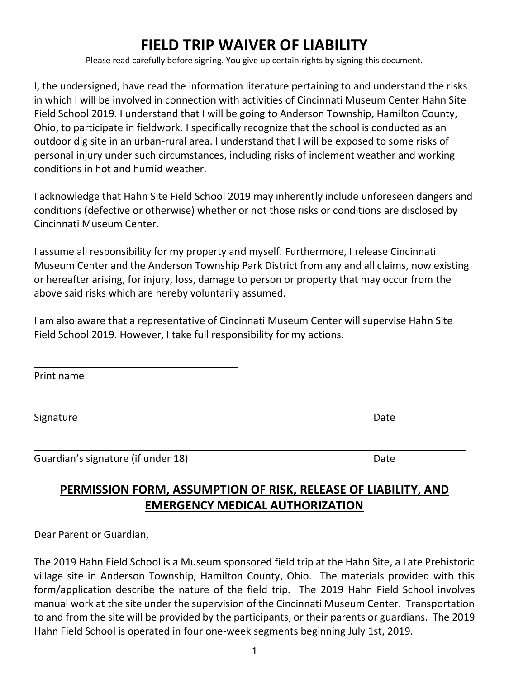## **FIELD TRIP WAIVER OF LIABILITY**

Please read carefully before signing. You give up certain rights by signing this document.

I, the undersigned, have read the information literature pertaining to and understand the risks in which I will be involved in connection with activities of Cincinnati Museum Center Hahn Site Field School 2019. I understand that I will be going to Anderson Township, Hamilton County, Ohio, to participate in fieldwork. I specifically recognize that the school is conducted as an outdoor dig site in an urban-rural area. I understand that I will be exposed to some risks of personal injury under such circumstances, including risks of inclement weather and working conditions in hot and humid weather.

I acknowledge that Hahn Site Field School 2019 may inherently include unforeseen dangers and conditions (defective or otherwise) whether or not those risks or conditions are disclosed by Cincinnati Museum Center.

I assume all responsibility for my property and myself. Furthermore, I release Cincinnati Museum Center and the Anderson Township Park District from any and all claims, now existing or hereafter arising, for injury, loss, damage to person or property that may occur from the above said risks which are hereby voluntarily assumed.

I am also aware that a representative of Cincinnati Museum Center will supervise Hahn Site Field School 2019. However, I take full responsibility for my actions.

Print name

l

 $\overline{a}$ 

 $\overline{a}$ 

Signature Date **Date** 

Guardian's signature (if under 18) Date and the state of the Date of the Date of the Date of the Date of the D

## **PERMISSION FORM, ASSUMPTION OF RISK, RELEASE OF LIABILITY, AND EMERGENCY MEDICAL AUTHORIZATION**

Dear Parent or Guardian,

The 2019 Hahn Field School is a Museum sponsored field trip at the Hahn Site, a Late Prehistoric village site in Anderson Township, Hamilton County, Ohio. The materials provided with this form/application describe the nature of the field trip. The 2019 Hahn Field School involves manual work at the site under the supervision of the Cincinnati Museum Center. Transportation to and from the site will be provided by the participants, or their parents or guardians. The 2019 Hahn Field School is operated in four one-week segments beginning July 1st, 2019.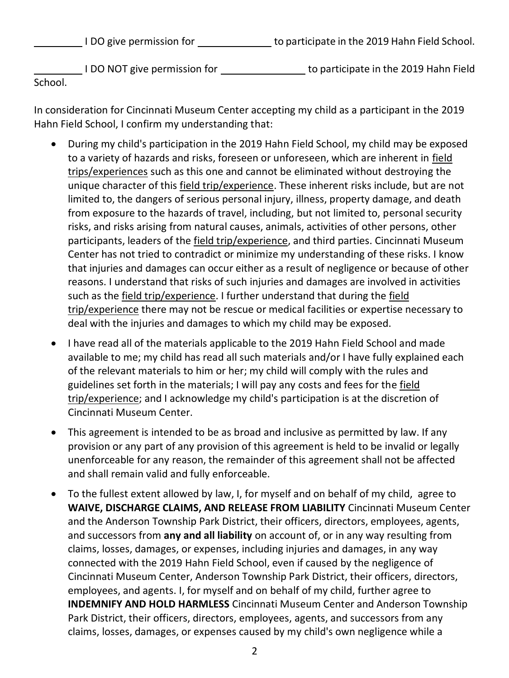I DO give permission for to participate in the 2019 Hahn Field School.

 I DO NOT give permission for to participate in the 2019 Hahn Field School.

In consideration for Cincinnati Museum Center accepting my child as a participant in the 2019 Hahn Field School, I confirm my understanding that:

- During my child's participation in the 2019 Hahn Field School, my child may be exposed to a variety of hazards and risks, foreseen or unforeseen, which are inherent in field trips/experiences such as this one and cannot be eliminated without destroying the unique character of this field trip/experience. These inherent risks include, but are not limited to, the dangers of serious personal injury, illness, property damage, and death from exposure to the hazards of travel, including, but not limited to, personal security risks, and risks arising from natural causes, animals, activities of other persons, other participants, leaders of the field trip/experience, and third parties. Cincinnati Museum Center has not tried to contradict or minimize my understanding of these risks. I know that injuries and damages can occur either as a result of negligence or because of other reasons. I understand that risks of such injuries and damages are involved in activities such as the field trip/experience. I further understand that during the field trip/experience there may not be rescue or medical facilities or expertise necessary to deal with the injuries and damages to which my child may be exposed.
- I have read all of the materials applicable to the 2019 Hahn Field School and made available to me; my child has read all such materials and/or I have fully explained each of the relevant materials to him or her; my child will comply with the rules and guidelines set forth in the materials; I will pay any costs and fees for the field trip/experience; and I acknowledge my child's participation is at the discretion of Cincinnati Museum Center.
- This agreement is intended to be as broad and inclusive as permitted by law. If any provision or any part of any provision of this agreement is held to be invalid or legally unenforceable for any reason, the remainder of this agreement shall not be affected and shall remain valid and fully enforceable.
- To the fullest extent allowed by law, I, for myself and on behalf of my child, agree to **WAIVE, DISCHARGE CLAIMS, AND RELEASE FROM LIABILITY** Cincinnati Museum Center and the Anderson Township Park District, their officers, directors, employees, agents, and successors from **any and all liability** on account of, or in any way resulting from claims, losses, damages, or expenses, including injuries and damages, in any way connected with the 2019 Hahn Field School, even if caused by the negligence of Cincinnati Museum Center, Anderson Township Park District, their officers, directors, employees, and agents. I, for myself and on behalf of my child, further agree to **INDEMNIFY AND HOLD HARMLESS** Cincinnati Museum Center and Anderson Township Park District, their officers, directors, employees, agents, and successors from any claims, losses, damages, or expenses caused by my child's own negligence while a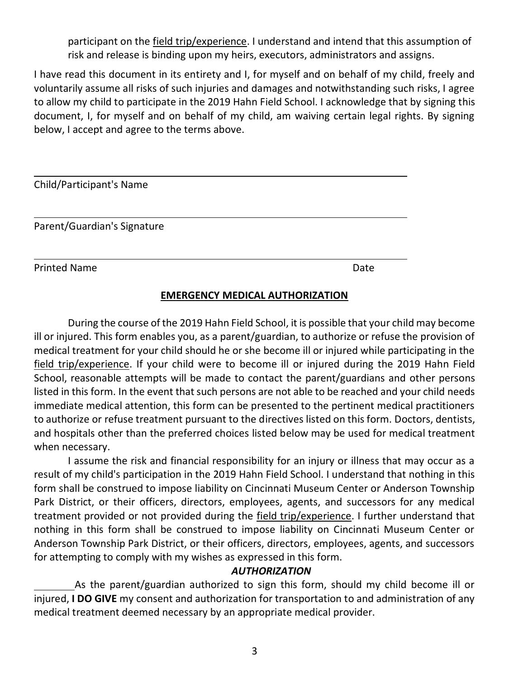participant on the field trip/experience. I understand and intend that this assumption of risk and release is binding upon my heirs, executors, administrators and assigns.

I have read this document in its entirety and I, for myself and on behalf of my child, freely and voluntarily assume all risks of such injuries and damages and notwithstanding such risks, I agree to allow my child to participate in the 2019 Hahn Field School. I acknowledge that by signing this document, I, for myself and on behalf of my child, am waiving certain legal rights. By signing below, I accept and agree to the terms above.

| Child/Participant's Name    |      |
|-----------------------------|------|
| Parent/Guardian's Signature |      |
| <b>Printed Name</b>         | Date |

## **EMERGENCY MEDICAL AUTHORIZATION**

During the course of the 2019 Hahn Field School, it is possible that your child may become ill or injured. This form enables you, as a parent/guardian, to authorize or refuse the provision of medical treatment for your child should he or she become ill or injured while participating in the field trip/experience. If your child were to become ill or injured during the 2019 Hahn Field School, reasonable attempts will be made to contact the parent/guardians and other persons listed in this form. In the event that such persons are not able to be reached and your child needs immediate medical attention, this form can be presented to the pertinent medical practitioners to authorize or refuse treatment pursuant to the directives listed on this form. Doctors, dentists, and hospitals other than the preferred choices listed below may be used for medical treatment when necessary.

I assume the risk and financial responsibility for an injury or illness that may occur as a result of my child's participation in the 2019 Hahn Field School. I understand that nothing in this form shall be construed to impose liability on Cincinnati Museum Center or Anderson Township Park District, or their officers, directors, employees, agents, and successors for any medical treatment provided or not provided during the field trip/experience. I further understand that nothing in this form shall be construed to impose liability on Cincinnati Museum Center or Anderson Township Park District, or their officers, directors, employees, agents, and successors for attempting to comply with my wishes as expressed in this form.

## *AUTHORIZATION*

 As the parent/guardian authorized to sign this form, should my child become ill or injured, **I DO GIVE** my consent and authorization for transportation to and administration of any medical treatment deemed necessary by an appropriate medical provider.